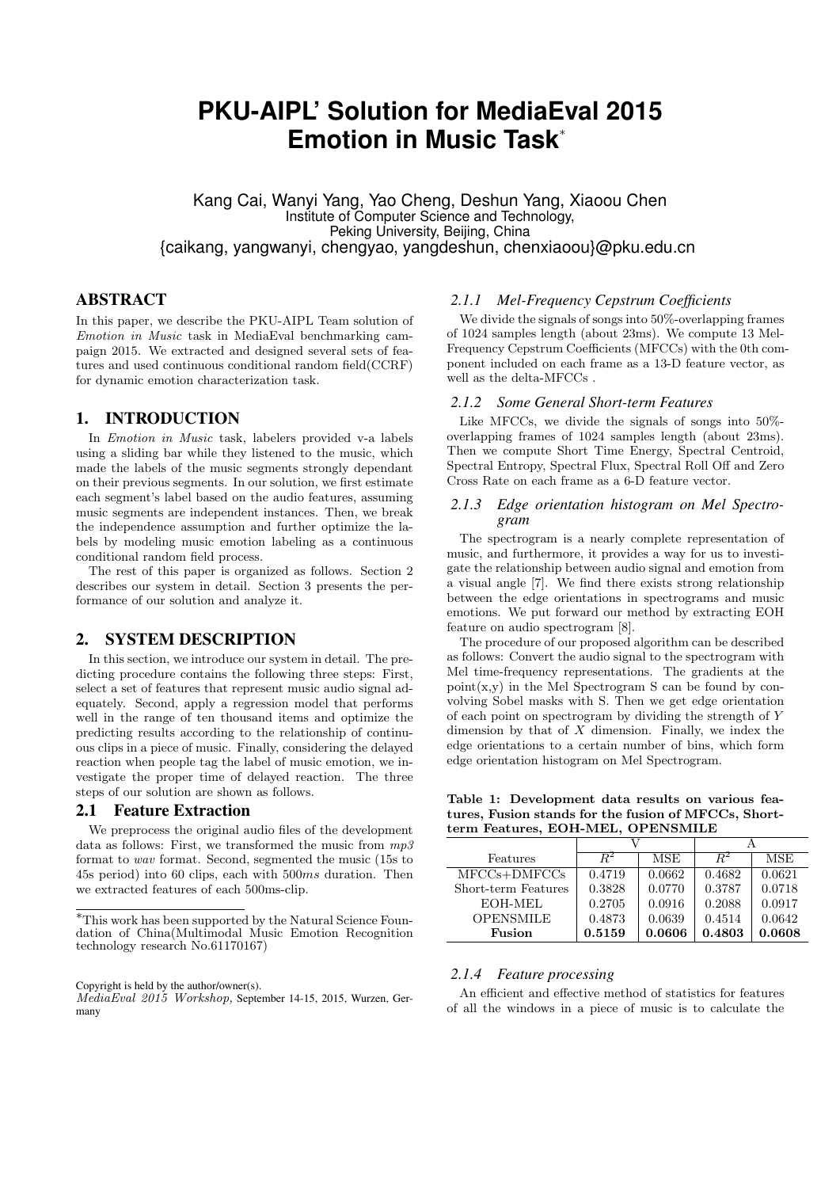# **PKU-AIPL' Solution for MediaEval 2015 Emotion in Music Task**<sup>∗</sup>

Kang Cai, Wanyi Yang, Yao Cheng, Deshun Yang, Xiaoou Chen Institute of Computer Science and Technology, Peking University, Beijing, China {caikang, yangwanyi, chengyao, yangdeshun, chenxiaoou}@pku.edu.cn

## ABSTRACT

In this paper, we describe the PKU-AIPL Team solution of Emotion in Music task in MediaEval benchmarking campaign 2015. We extracted and designed several sets of features and used continuous conditional random field(CCRF) for dynamic emotion characterization task.

## 1. INTRODUCTION

In Emotion in Music task, labelers provided v-a labels using a sliding bar while they listened to the music, which made the labels of the music segments strongly dependant on their previous segments. In our solution, we first estimate each segment's label based on the audio features, assuming music segments are independent instances. Then, we break the independence assumption and further optimize the labels by modeling music emotion labeling as a continuous conditional random field process.

The rest of this paper is organized as follows. Section 2 describes our system in detail. Section 3 presents the performance of our solution and analyze it.

### 2. SYSTEM DESCRIPTION

In this section, we introduce our system in detail. The predicting procedure contains the following three steps: First, select a set of features that represent music audio signal adequately. Second, apply a regression model that performs well in the range of ten thousand items and optimize the predicting results according to the relationship of continuous clips in a piece of music. Finally, considering the delayed reaction when people tag the label of music emotion, we investigate the proper time of delayed reaction. The three steps of our solution are shown as follows.

#### 2.1 Feature Extraction

We preprocess the original audio files of the development data as follows: First, we transformed the music from mp3 format to wav format. Second, segmented the music (15s to 45s period) into 60 clips, each with 500ms duration. Then we extracted features of each 500ms-clip.

## *2.1.1 Mel-Frequency Cepstrum Coefficients*

We divide the signals of songs into 50%-overlapping frames of 1024 samples length (about 23ms). We compute 13 Mel-Frequency Cepstrum Coefficients (MFCCs) with the 0th component included on each frame as a 13-D feature vector, as well as the delta-MFCCs .

#### *2.1.2 Some General Short-term Features*

Like MFCCs, we divide the signals of songs into 50% overlapping frames of 1024 samples length (about 23ms). Then we compute Short Time Energy, Spectral Centroid, Spectral Entropy, Spectral Flux, Spectral Roll Off and Zero Cross Rate on each frame as a 6-D feature vector.

#### *2.1.3 Edge orientation histogram on Mel Spectrogram*

The spectrogram is a nearly complete representation of music, and furthermore, it provides a way for us to investigate the relationship between audio signal and emotion from a visual angle [7]. We find there exists strong relationship between the edge orientations in spectrograms and music emotions. We put forward our method by extracting EOH feature on audio spectrogram [8].

The procedure of our proposed algorithm can be described as follows: Convert the audio signal to the spectrogram with Mel time-frequency representations. The gradients at the point(x,y) in the Mel Spectrogram S can be found by convolving Sobel masks with S. Then we get edge orientation of each point on spectrogram by dividing the strength of Y dimension by that of  $X$  dimension. Finally, we index the edge orientations to a certain number of bins, which form edge orientation histogram on Mel Spectrogram.

Table 1: Development data results on various features, Fusion stands for the fusion of MFCCs, Shortterm Features, EOH-MEL, OPENSMILE

| Features            | $R^2$  | MSE    | $R^2$  | MSE    |
|---------------------|--------|--------|--------|--------|
| $MFCCs+DMFCCs$      | 0.4719 | 0.0662 | 0.4682 | 0.0621 |
| Short-term Features | 0.3828 | 0.0770 | 0.3787 | 0.0718 |
| EOH-MEL             | 0.2705 | 0.0916 | 0.2088 | 0.0917 |
| <b>OPENSMILE</b>    | 0.4873 | 0.0639 | 0.4514 | 0.0642 |
| Fusion              | 0.5159 | 0.0606 | 0.4803 | 0.0608 |

#### *2.1.4 Feature processing*

An efficient and effective method of statistics for features of all the windows in a piece of music is to calculate the

<sup>∗</sup>This work has been supported by the Natural Science Foundation of China(Multimodal Music Emotion Recognition technology research No.61170167)

Copyright is held by the author/owner(s). MediaEval 2015 Workshop, September 14-15, 2015, Wurzen, Germany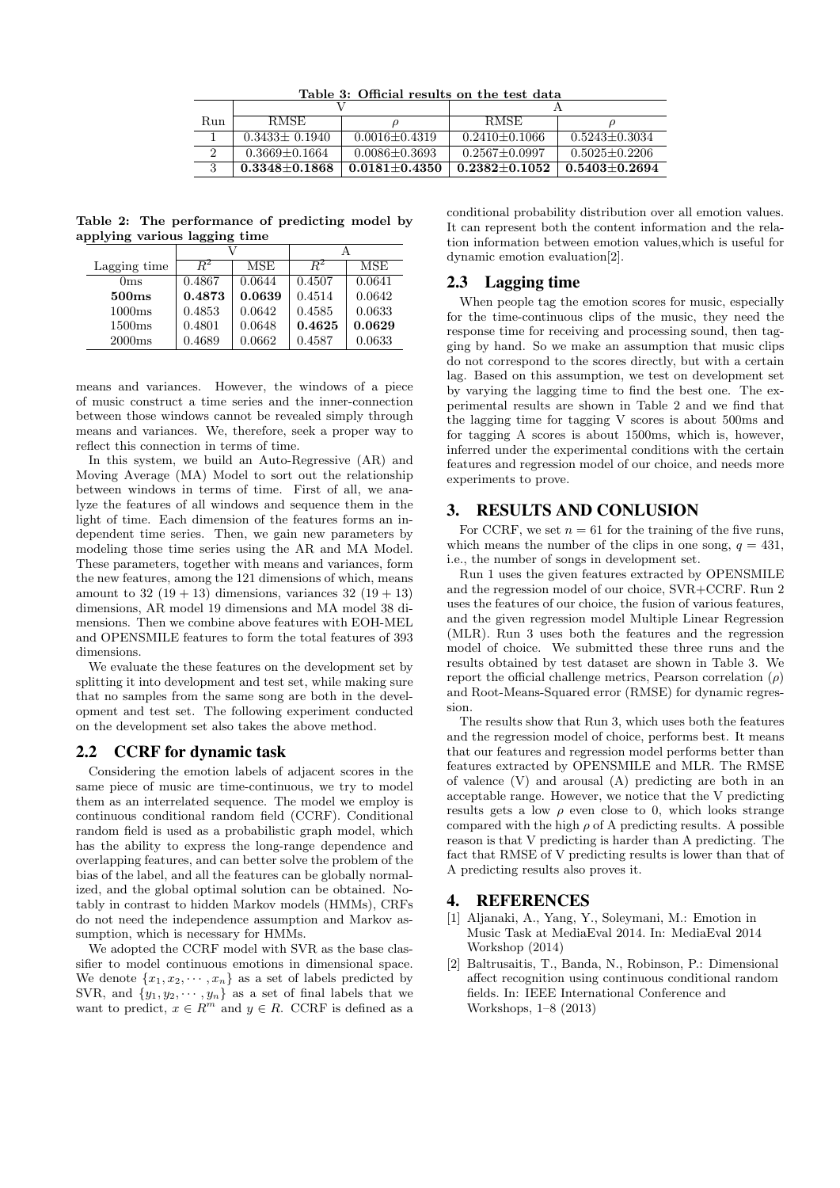| Table of Omelal results on the test data |                   |                   |                     |                     |  |  |  |  |
|------------------------------------------|-------------------|-------------------|---------------------|---------------------|--|--|--|--|
|                                          |                   |                   |                     |                     |  |  |  |  |
| Run                                      | RMSE.             |                   | <b>RMSE</b>         |                     |  |  |  |  |
|                                          | $0.3433 + 0.1940$ | $0.0016 + 0.4319$ | $0.2410 + 0.1066$   | $0.5243 + 0.3034$   |  |  |  |  |
|                                          | $0.3669 + 0.1664$ | $0.0086 + 0.3693$ | $0.2567 \pm 0.0997$ | $0.5025 \pm 0.2206$ |  |  |  |  |
|                                          | $0.3348 + 0.1868$ | $0.0181 + 0.4350$ | $0.2382 + 0.1052$   | $0.5403 \pm 0.2694$ |  |  |  |  |

Table 3: Official results on the test data

Table 2: The performance of predicting model by applying various lagging time

| Lagging time    | $R^2$  | MSE    | $R^2$  | MSE    |
|-----------------|--------|--------|--------|--------|
| 0 <sub>ms</sub> | 0.4867 | 0.0644 | 0.4507 | 0.0641 |
| 500ms           | 0.4873 | 0.0639 | 0.4514 | 0.0642 |
| 1000ms          | 0.4853 | 0.0642 | 0.4585 | 0.0633 |
| 1500ms          | 0.4801 | 0.0648 | 0.4625 | 0.0629 |
| 2000ms          | 0.4689 | 0.0662 | 0.4587 | 0.0633 |

means and variances. However, the windows of a piece of music construct a time series and the inner-connection between those windows cannot be revealed simply through means and variances. We, therefore, seek a proper way to reflect this connection in terms of time.

In this system, we build an Auto-Regressive (AR) and Moving Average (MA) Model to sort out the relationship between windows in terms of time. First of all, we analyze the features of all windows and sequence them in the light of time. Each dimension of the features forms an independent time series. Then, we gain new parameters by modeling those time series using the AR and MA Model. These parameters, together with means and variances, form the new features, among the 121 dimensions of which, means amount to  $32(19+13)$  dimensions, variances  $32(19+13)$ dimensions, AR model 19 dimensions and MA model 38 dimensions. Then we combine above features with EOH-MEL and OPENSMILE features to form the total features of 393 dimensions.

We evaluate the these features on the development set by splitting it into development and test set, while making sure that no samples from the same song are both in the development and test set. The following experiment conducted on the development set also takes the above method.

## 2.2 CCRF for dynamic task

Considering the emotion labels of adjacent scores in the same piece of music are time-continuous, we try to model them as an interrelated sequence. The model we employ is continuous conditional random field (CCRF). Conditional random field is used as a probabilistic graph model, which has the ability to express the long-range dependence and overlapping features, and can better solve the problem of the bias of the label, and all the features can be globally normalized, and the global optimal solution can be obtained. Notably in contrast to hidden Markov models (HMMs), CRFs do not need the independence assumption and Markov assumption, which is necessary for HMMs.

We adopted the CCRF model with SVR as the base classifier to model continuous emotions in dimensional space. We denote  $\{x_1, x_2, \dots, x_n\}$  as a set of labels predicted by SVR, and  $\{y_1, y_2, \dots, y_n\}$  as a set of final labels that we want to predict,  $x \in R^m$  and  $y \in R$ . CCRF is defined as a

conditional probability distribution over all emotion values. It can represent both the content information and the relation information between emotion values,which is useful for dynamic emotion evaluation[2].

## 2.3 Lagging time

When people tag the emotion scores for music, especially for the time-continuous clips of the music, they need the response time for receiving and processing sound, then tagging by hand. So we make an assumption that music clips do not correspond to the scores directly, but with a certain lag. Based on this assumption, we test on development set by varying the lagging time to find the best one. The experimental results are shown in Table 2 and we find that the lagging time for tagging V scores is about 500ms and for tagging A scores is about 1500ms, which is, however, inferred under the experimental conditions with the certain features and regression model of our choice, and needs more experiments to prove.

# 3. RESULTS AND CONLUSION

For CCRF, we set  $n = 61$  for the training of the five runs, which means the number of the clips in one song,  $q = 431$ , i.e., the number of songs in development set.

Run 1 uses the given features extracted by OPENSMILE and the regression model of our choice, SVR+CCRF. Run 2 uses the features of our choice, the fusion of various features, and the given regression model Multiple Linear Regression (MLR). Run 3 uses both the features and the regression model of choice. We submitted these three runs and the results obtained by test dataset are shown in Table 3. We report the official challenge metrics, Pearson correlation  $(\rho)$ and Root-Means-Squared error (RMSE) for dynamic regression.

The results show that Run 3, which uses both the features and the regression model of choice, performs best. It means that our features and regression model performs better than features extracted by OPENSMILE and MLR. The RMSE of valence (V) and arousal (A) predicting are both in an acceptable range. However, we notice that the V predicting results gets a low  $\rho$  even close to 0, which looks strange compared with the high  $\rho$  of A predicting results. A possible reason is that V predicting is harder than A predicting. The fact that RMSE of V predicting results is lower than that of A predicting results also proves it.

## 4. REFERENCES

- [1] Aljanaki, A., Yang, Y., Soleymani, M.: Emotion in Music Task at MediaEval 2014. In: MediaEval 2014 Workshop (2014)
- [2] Baltrusaitis, T., Banda, N., Robinson, P.: Dimensional affect recognition using continuous conditional random fields. In: IEEE International Conference and Workshops, 1–8 (2013)